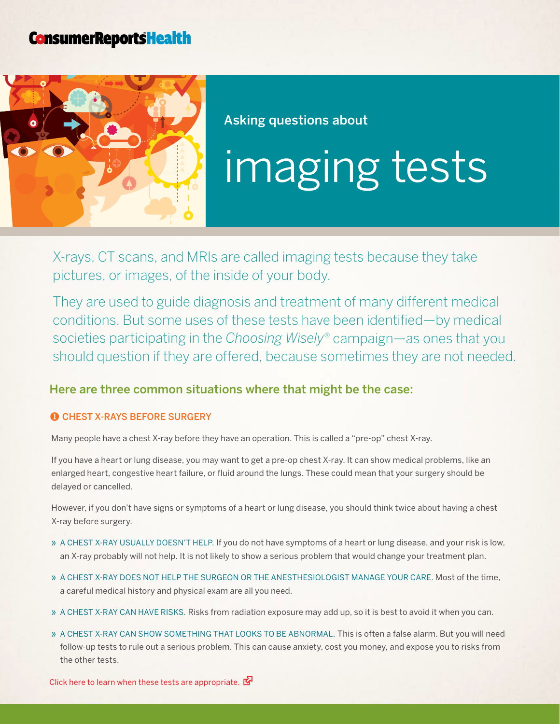## **ConsumerReportsHealth**



Asking questions about

# imaging tests

X-rays, CT scans, and MRIs are called imaging tests because they take pictures, or images, of the inside of your body.

They are used to guide diagnosis and treatment of many different medical conditions. But some uses of these tests have been identified—by medical societies participating in the *Choosing Wisely*® campaign—as ones that you should question if they are offered, because sometimes they are not needed.

### Here are three common situations where that might be the case:

#### **O CHEST X-RAYS BEFORE SURGERY**

Many people have a chest X-ray before they have an operation. This is called a "pre-op" chest X-ray.

If you have a heart or lung disease, you may want to get a pre-op chest X-ray. It can show medical problems, like an enlarged heart, congestive heart failure, or fluid around the lungs. These could mean that your surgery should be delayed or cancelled.

However, if you don't have signs or symptoms of a heart or lung disease, you should think twice about having a chest X-ray before surgery.

- » A CHEST X-RAY USUALLY DOESN'T HELP. If you do not have symptoms of a heart or lung disease, and your risk is low, an X-ray probably will not help. It is not likely to show a serious problem that would change your treatment plan.
- » A chest X-ray does not help the surgeon or the anesthesiologist manage your care. Most of the time, a careful medical history and physical exam are all you need.
- » A CHEST X-RAY CAN HAVE RISKS. Risks from radiation exposure may add up, so it is best to avoid it when you can.
- » A CHEST X-RAY CAN SHOW SOMETHING THAT LOOKS TO BE ABNORMAL. This is often a false alarm. But you will need follow-up tests to rule out a serious problem. This can cause anxiety, cost you money, and expose you to risks from the other tests.

[Click here to learn when these tests are appropriate.](http://consumerhealthchoices.org/wp-content/uploads/2012/05/ChoosingWiselyBoneDensityAAFP.pdf)  $\mathbb{Z}^d$